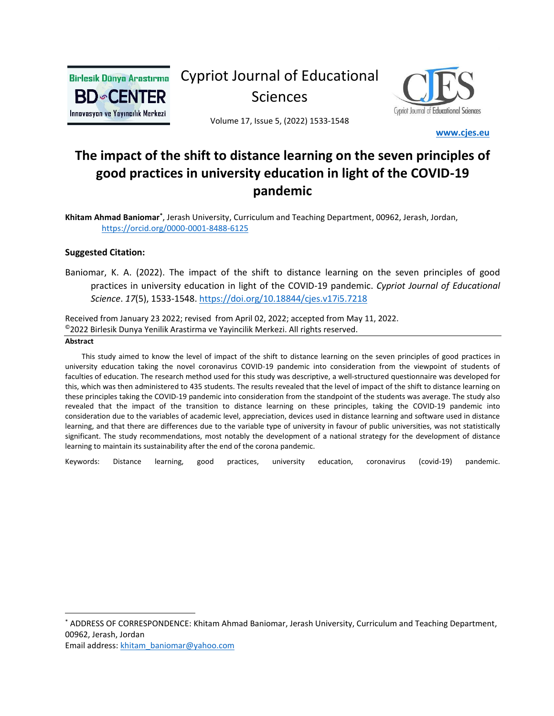

Cypriot Journal of Educational Sciences



Volume 17, Issue 5, (2022) 1533-1548

 **[www.cjes.eu](http://www.cjes.eu/)**

# **The impact of the shift to distance learning on the seven principles of good practices in university education in light of the COVID-19 pandemic**

Khitam Ahmad Baniomar<sup>\*</sup>, Jerash University, Curriculum and Teaching Department, 00962, Jerash, Jordan, <https://orcid.org/0000-0001-8488-6125>

#### **Suggested Citation:**

Baniomar, K. A. (2022). The impact of the shift to distance learning on the seven principles of good practices in university education in light of the COVID-19 pandemic. *Cypriot Journal of Educational Science*. *17*(5), 1533-1548. <https://doi.org/10.18844/cjes.v17i5.7218>

Received from January 23 2022; revised from April 02, 2022; accepted from May 11, 2022. ©2022 Birlesik Dunya Yenilik Arastirma ve Yayincilik Merkezi. All rights reserved.

#### **Abstract**

 This study aimed to know the level of impact of the shift to distance learning on the seven principles of good practices in university education taking the novel coronavirus COVID-19 pandemic into consideration from the viewpoint of students of faculties of education. The research method used for this study was descriptive, a well-structured questionnaire was developed for this, which was then administered to 435 students. The results revealed that the level of impact of the shift to distance learning on these principles taking the COVID-19 pandemic into consideration from the standpoint of the students was average. The study also revealed that the impact of the transition to distance learning on these principles, taking the COVID-19 pandemic into consideration due to the variables of academic level, appreciation, devices used in distance learning and software used in distance learning, and that there are differences due to the variable type of university in favour of public universities, was not statistically significant. The study recommendations, most notably the development of a national strategy for the development of distance learning to maintain its sustainability after the end of the corona pandemic.

Keywords: Distance learning, good practices, university education, coronavirus (covid-19) pandemic.

\* ADDRESS OF CORRESPONDENCE: Khitam Ahmad Baniomar, Jerash University, Curriculum and Teaching Department, 00962, Jerash, Jordan

Email address: [khitam\\_baniomar@yahoo.com](mailto:khitam_baniomar@yahoo.com)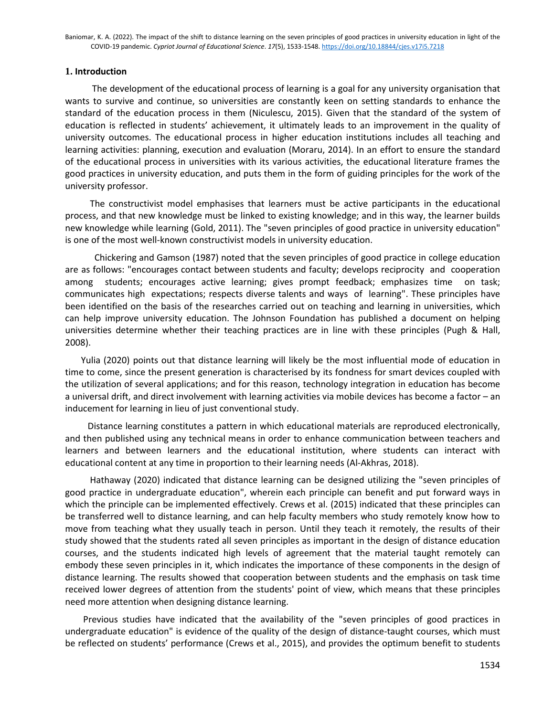### **1. Introduction**

 The development of the educational process of learning is a goal for any university organisation that wants to survive and continue, so universities are constantly keen on setting standards to enhance the standard of the education process in them (Niculescu, 2015). Given that the standard of the system of education is reflected in students' achievement, it ultimately leads to an improvement in the quality of university outcomes. The educational process in higher education institutions includes all teaching and learning activities: planning, execution and evaluation (Moraru, 2014). In an effort to ensure the standard of the educational process in universities with its various activities, the educational literature frames the good practices in university education, and puts them in the form of guiding principles for the work of the university professor.

 The constructivist model emphasises that learners must be active participants in the educational process, and that new knowledge must be linked to existing knowledge; and in this way, the learner builds new knowledge while learning (Gold, 2011). The "seven principles of good practice in university education" is one of the most well-known constructivist models in university education.

 Chickering and Gamson (1987) noted that the seven principles of good practice in college education are as follows: "encourages contact between students and faculty; develops reciprocity and cooperation among students; encourages active learning; gives prompt feedback; emphasizes time on task; communicates high expectations; respects diverse talents and ways of learning". These principles have been identified on the basis of the researches carried out on teaching and learning in universities, which can help improve university education. The Johnson Foundation has published a document on helping universities determine whether their teaching practices are in line with these principles (Pugh & Hall, 2008).

 Yulia (2020) points out that distance learning will likely be the most influential mode of education in time to come, since the present generation is characterised by its fondness for smart devices coupled with the utilization of several applications; and for this reason, technology integration in education has become a universal drift, and direct involvement with learning activities via mobile devices has become a factor – an inducement for learning in lieu of just conventional study.

 Distance learning constitutes a pattern in which educational materials are reproduced electronically, and then published using any technical means in order to enhance communication between teachers and learners and between learners and the educational institution, where students can interact with educational content at any time in proportion to their learning needs (Al-Akhras, 2018).

 Hathaway (2020) indicated that distance learning can be designed utilizing the "seven principles of good practice in undergraduate education", wherein each principle can benefit and put forward ways in which the principle can be implemented effectively. Crews et al. (2015) indicated that these principles can be transferred well to distance learning, and can help faculty members who study remotely know how to move from teaching what they usually teach in person. Until they teach it remotely, the results of their study showed that the students rated all seven principles as important in the design of distance education courses, and the students indicated high levels of agreement that the material taught remotely can embody these seven principles in it, which indicates the importance of these components in the design of distance learning. The results showed that cooperation between students and the emphasis on task time received lower degrees of attention from the students' point of view, which means that these principles need more attention when designing distance learning.

 Previous studies have indicated that the availability of the "seven principles of good practices in undergraduate education" is evidence of the quality of the design of distance-taught courses, which must be reflected on students' performance (Crews et al., 2015), and provides the optimum benefit to students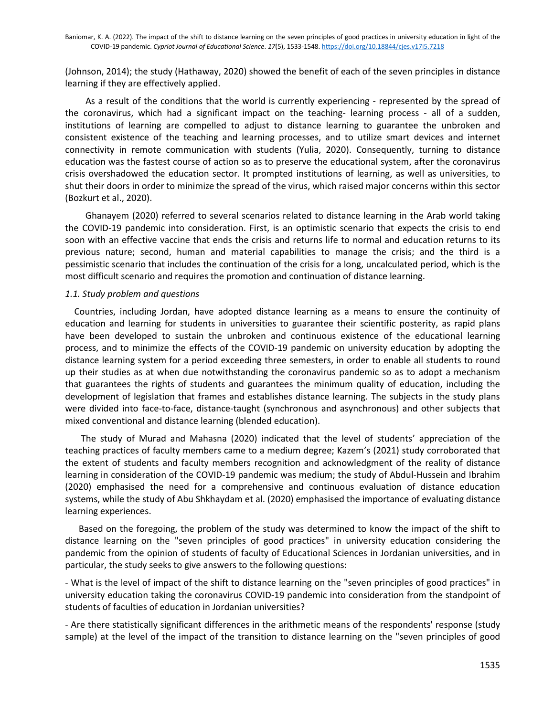(Johnson, 2014); the study (Hathaway, 2020) showed the benefit of each of the seven principles in distance learning if they are effectively applied.

 As a result of the conditions that the world is currently experiencing - represented by the spread of the coronavirus, which had a significant impact on the teaching- learning process - all of a sudden, institutions of learning are compelled to adjust to distance learning to guarantee the unbroken and consistent existence of the teaching and learning processes, and to utilize smart devices and internet connectivity in remote communication with students (Yulia, 2020). Consequently, turning to distance education was the fastest course of action so as to preserve the educational system, after the coronavirus crisis overshadowed the education sector. It prompted institutions of learning, as well as universities, to shut their doors in order to minimize the spread of the virus, which raised major concerns within this sector (Bozkurt et al., 2020).

 Ghanayem (2020) referred to several scenarios related to distance learning in the Arab world taking the COVID-19 pandemic into consideration. First, is an optimistic scenario that expects the crisis to end soon with an effective vaccine that ends the crisis and returns life to normal and education returns to its previous nature; second, human and material capabilities to manage the crisis; and the third is a pessimistic scenario that includes the continuation of the crisis for a long, uncalculated period, which is the most difficult scenario and requires the promotion and continuation of distance learning.

#### *1.1. Study problem and questions*

 Countries, including Jordan, have adopted distance learning as a means to ensure the continuity of education and learning for students in universities to guarantee their scientific posterity, as rapid plans have been developed to sustain the unbroken and continuous existence of the educational learning process, and to minimize the effects of the COVID-19 pandemic on university education by adopting the distance learning system for a period exceeding three semesters, in order to enable all students to round up their studies as at when due notwithstanding the coronavirus pandemic so as to adopt a mechanism that guarantees the rights of students and guarantees the minimum quality of education, including the development of legislation that frames and establishes distance learning. The subjects in the study plans were divided into face-to-face, distance-taught (synchronous and asynchronous) and other subjects that mixed conventional and distance learning (blended education).

 The study of Murad and Mahasna (2020) indicated that the level of students' appreciation of the teaching practices of faculty members came to a medium degree; Kazem's (2021) study corroborated that the extent of students and faculty members recognition and acknowledgment of the reality of distance learning in consideration of the COVID-19 pandemic was medium; the study of Abdul-Hussein and Ibrahim (2020) emphasised the need for a comprehensive and continuous evaluation of distance education systems, while the study of Abu Shkhaydam et al. (2020) emphasised the importance of evaluating distance learning experiences.

 Based on the foregoing, the problem of the study was determined to know the impact of the shift to distance learning on the "seven principles of good practices" in university education considering the pandemic from the opinion of students of faculty of Educational Sciences in Jordanian universities, and in particular, the study seeks to give answers to the following questions:

- What is the level of impact of the shift to distance learning on the "seven principles of good practices" in university education taking the coronavirus COVID-19 pandemic into consideration from the standpoint of students of faculties of education in Jordanian universities?

- Are there statistically significant differences in the arithmetic means of the respondents' response (study sample) at the level of the impact of the transition to distance learning on the "seven principles of good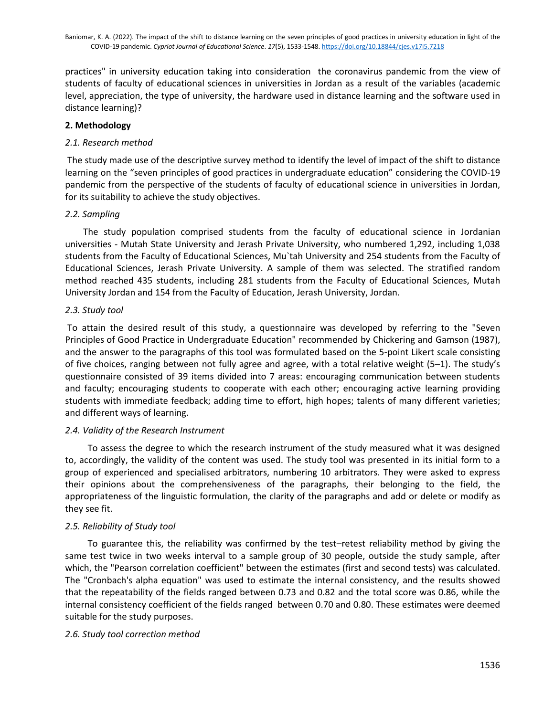practices" in university education taking into consideration the coronavirus pandemic from the view of students of faculty of educational sciences in universities in Jordan as a result of the variables (academic level, appreciation, the type of university, the hardware used in distance learning and the software used in distance learning)?

# **2. Methodology**

# *2.1. Research method*

The study made use of the descriptive survey method to identify the level of impact of the shift to distance learning on the "seven principles of good practices in undergraduate education" considering the COVID-19 pandemic from the perspective of the students of faculty of educational science in universities in Jordan, for its suitability to achieve the study objectives.

# *2.2. Sampling*

 The study population comprised students from the faculty of educational science in Jordanian universities - Mutah State University and Jerash Private University, who numbered 1,292, including 1,038 students from the Faculty of Educational Sciences, Mu`tah University and 254 students from the Faculty of Educational Sciences, Jerash Private University. A sample of them was selected. The stratified random method reached 435 students, including 281 students from the Faculty of Educational Sciences, Mutah University Jordan and 154 from the Faculty of Education, Jerash University, Jordan.

# *2.3. Study tool*

To attain the desired result of this study, a questionnaire was developed by referring to the "Seven Principles of Good Practice in Undergraduate Education" recommended by Chickering and Gamson (1987), and the answer to the paragraphs of this tool was formulated based on the 5-point Likert scale consisting of five choices, ranging between not fully agree and agree, with a total relative weight (5–1). The study's questionnaire consisted of 39 items divided into 7 areas: encouraging communication between students and faculty; encouraging students to cooperate with each other; encouraging active learning providing students with immediate feedback; adding time to effort, high hopes; talents of many different varieties; and different ways of learning.

# *2.4. Validity of the Research Instrument*

 To assess the degree to which the research instrument of the study measured what it was designed to, accordingly, the validity of the content was used. The study tool was presented in its initial form to a group of experienced and specialised arbitrators, numbering 10 arbitrators. They were asked to express their opinions about the comprehensiveness of the paragraphs, their belonging to the field, the appropriateness of the linguistic formulation, the clarity of the paragraphs and add or delete or modify as they see fit.

# *2.5. Reliability of Study tool*

 To guarantee this, the reliability was confirmed by the test–retest reliability method by giving the same test twice in two weeks interval to a sample group of 30 people, outside the study sample, after which, the "Pearson correlation coefficient" between the estimates (first and second tests) was calculated. The "Cronbach's alpha equation" was used to estimate the internal consistency, and the results showed that the repeatability of the fields ranged between 0.73 and 0.82 and the total score was 0.86, while the internal consistency coefficient of the fields ranged between 0.70 and 0.80. These estimates were deemed suitable for the study purposes.

# *2.6. Study tool correction method*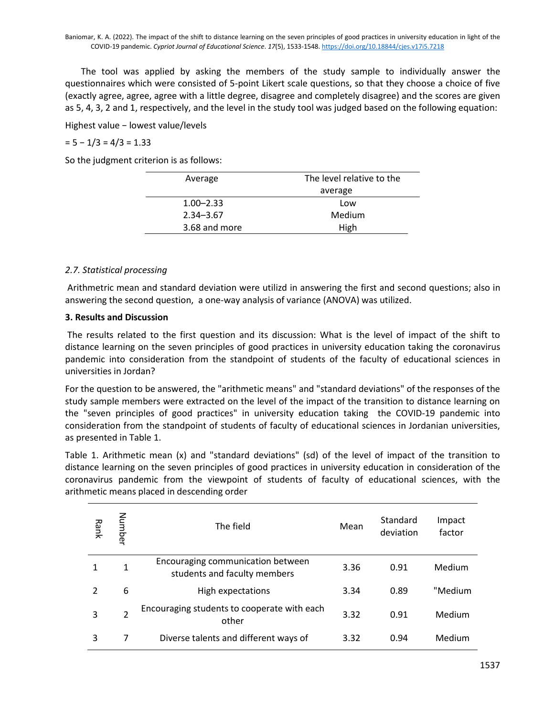The tool was applied by asking the members of the study sample to individually answer the questionnaires which were consisted of 5-point Likert scale questions, so that they choose a choice of five (exactly agree, agree, agree with a little degree, disagree and completely disagree) and the scores are given as 5, 4, 3, 2 and 1, respectively, and the level in the study tool was judged based on the following equation:

Highest value − lowest value/levels

#### $= 5 - 1/3 = 4/3 = 1.33$

So the judgment criterion is as follows:

| Average       | The level relative to the |  |  |
|---------------|---------------------------|--|--|
|               | average                   |  |  |
| $1.00 - 2.33$ | Low                       |  |  |
| $2.34 - 3.67$ | Medium                    |  |  |
| 3.68 and more | High                      |  |  |

#### *2.7. Statistical processing*

Arithmetric mean and standard deviation were utilizd in answering the first and second questions; also in answering the second question, a one-way analysis of variance (ANOVA) was utilized.

#### **3. Results and Discussion**

The results related to the first question and its discussion: What is the level of impact of the shift to distance learning on the seven principles of good practices in university education taking the coronavirus pandemic into consideration from the standpoint of students of the faculty of educational sciences in universities in Jordan?

For the question to be answered, the "arithmetic means" and "standard deviations" of the responses of the study sample members were extracted on the level of the impact of the transition to distance learning on the "seven principles of good practices" in university education taking the COVID-19 pandemic into consideration from the standpoint of students of faculty of educational sciences in Jordanian universities, as presented in Table 1.

Table 1. Arithmetic mean (x) and "standard deviations" (sd) of the level of impact of the transition to distance learning on the seven principles of good practices in university education in consideration of the coronavirus pandemic from the viewpoint of students of faculty of educational sciences, with the arithmetic means placed in descending order

| Rank | Number         | The field                                                         | Mean | Standard<br>deviation | Impact<br>factor |
|------|----------------|-------------------------------------------------------------------|------|-----------------------|------------------|
|      | 1              | Encouraging communication between<br>students and faculty members | 3.36 | 0.91                  | Medium           |
|      | 6              | High expectations                                                 | 3.34 | 0.89                  | "Medium          |
| 3    | $\mathfrak{p}$ | Encouraging students to cooperate with each<br>other              | 3.32 | 0.91                  | Medium           |
| 3    |                | Diverse talents and different ways of                             | 3.32 | 0.94                  | Medium           |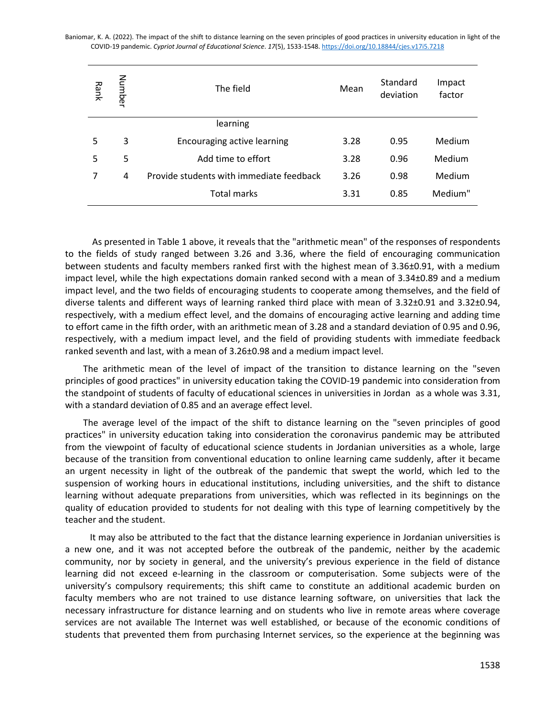| Rank | Number | The field                                | Mean | Standard<br>deviation | Impact<br>factor |
|------|--------|------------------------------------------|------|-----------------------|------------------|
|      |        | learning                                 |      |                       |                  |
| 5    | 3      | Encouraging active learning              | 3.28 | 0.95                  | Medium           |
| 5    | 5      | Add time to effort                       | 3.28 | 0.96                  | Medium           |
|      | 4      | Provide students with immediate feedback | 3.26 | 0.98                  | Medium           |
|      |        | <b>Total marks</b>                       | 3.31 | 0.85                  | Medium"          |

 As presented in Table 1 above, it reveals that the "arithmetic mean" of the responses of respondents to the fields of study ranged between 3.26 and 3.36, where the field of encouraging communication between students and faculty members ranked first with the highest mean of 3.36±0.91, with a medium impact level, while the high expectations domain ranked second with a mean of 3.34±0.89 and a medium impact level, and the two fields of encouraging students to cooperate among themselves, and the field of diverse talents and different ways of learning ranked third place with mean of 3.32±0.91 and 3.32±0.94, respectively, with a medium effect level, and the domains of encouraging active learning and adding time to effort came in the fifth order, with an arithmetic mean of 3.28 and a standard deviation of 0.95 and 0.96, respectively, with a medium impact level, and the field of providing students with immediate feedback ranked seventh and last, with a mean of 3.26±0.98 and a medium impact level.

 The arithmetic mean of the level of impact of the transition to distance learning on the "seven principles of good practices" in university education taking the COVID-19 pandemic into consideration from the standpoint of students of faculty of educational sciences in universities in Jordan as a whole was 3.31, with a standard deviation of 0.85 and an average effect level.

 The average level of the impact of the shift to distance learning on the "seven principles of good practices" in university education taking into consideration the coronavirus pandemic may be attributed from the viewpoint of faculty of educational science students in Jordanian universities as a whole, large because of the transition from conventional education to online learning came suddenly, after it became an urgent necessity in light of the outbreak of the pandemic that swept the world, which led to the suspension of working hours in educational institutions, including universities, and the shift to distance learning without adequate preparations from universities, which was reflected in its beginnings on the quality of education provided to students for not dealing with this type of learning competitively by the teacher and the student.

 It may also be attributed to the fact that the distance learning experience in Jordanian universities is a new one, and it was not accepted before the outbreak of the pandemic, neither by the academic community, nor by society in general, and the university's previous experience in the field of distance learning did not exceed e-learning in the classroom or computerisation. Some subjects were of the university's compulsory requirements; this shift came to constitute an additional academic burden on faculty members who are not trained to use distance learning software, on universities that lack the necessary infrastructure for distance learning and on students who live in remote areas where coverage services are not available The Internet was well established, or because of the economic conditions of students that prevented them from purchasing Internet services, so the experience at the beginning was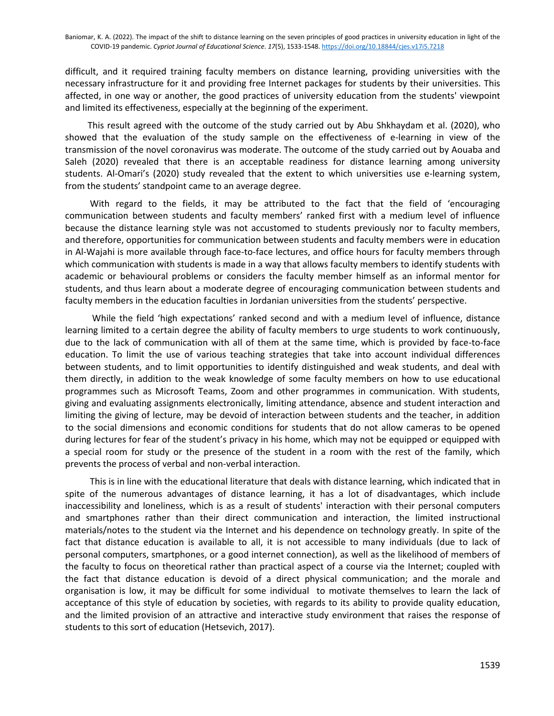difficult, and it required training faculty members on distance learning, providing universities with the necessary infrastructure for it and providing free Internet packages for students by their universities. This affected, in one way or another, the good practices of university education from the students' viewpoint and limited its effectiveness, especially at the beginning of the experiment.

 This result agreed with the outcome of the study carried out by Abu Shkhaydam et al. (2020), who showed that the evaluation of the study sample on the effectiveness of e-learning in view of the transmission of the novel coronavirus was moderate. The outcome of the study carried out by Aouaba and Saleh (2020) revealed that there is an acceptable readiness for distance learning among university students. Al-Omari's (2020) study revealed that the extent to which universities use e-learning system, from the students' standpoint came to an average degree.

 With regard to the fields, it may be attributed to the fact that the field of 'encouraging communication between students and faculty members' ranked first with a medium level of influence because the distance learning style was not accustomed to students previously nor to faculty members, and therefore, opportunities for communication between students and faculty members were in education in Al-Wajahi is more available through face-to-face lectures, and office hours for faculty members through which communication with students is made in a way that allows faculty members to identify students with academic or behavioural problems or considers the faculty member himself as an informal mentor for students, and thus learn about a moderate degree of encouraging communication between students and faculty members in the education faculties in Jordanian universities from the students' perspective.

 While the field 'high expectations' ranked second and with a medium level of influence, distance learning limited to a certain degree the ability of faculty members to urge students to work continuously, due to the lack of communication with all of them at the same time, which is provided by face-to-face education. To limit the use of various teaching strategies that take into account individual differences between students, and to limit opportunities to identify distinguished and weak students, and deal with them directly, in addition to the weak knowledge of some faculty members on how to use educational programmes such as Microsoft Teams, Zoom and other programmes in communication. With students, giving and evaluating assignments electronically, limiting attendance, absence and student interaction and limiting the giving of lecture, may be devoid of interaction between students and the teacher, in addition to the social dimensions and economic conditions for students that do not allow cameras to be opened during lectures for fear of the student's privacy in his home, which may not be equipped or equipped with a special room for study or the presence of the student in a room with the rest of the family, which prevents the process of verbal and non-verbal interaction.

 This is in line with the educational literature that deals with distance learning, which indicated that in spite of the numerous advantages of distance learning, it has a lot of disadvantages, which include inaccessibility and loneliness, which is as a result of students' interaction with their personal computers and smartphones rather than their direct communication and interaction, the limited instructional materials/notes to the student via the Internet and his dependence on technology greatly. In spite of the fact that distance education is available to all, it is not accessible to many individuals (due to lack of personal computers, smartphones, or a good internet connection), as well as the likelihood of members of the faculty to focus on theoretical rather than practical aspect of a course via the Internet; coupled with the fact that distance education is devoid of a direct physical communication; and the morale and organisation is low, it may be difficult for some individual to motivate themselves to learn the lack of acceptance of this style of education by societies, with regards to its ability to provide quality education, and the limited provision of an attractive and interactive study environment that raises the response of students to this sort of education (Hetsevich, 2017).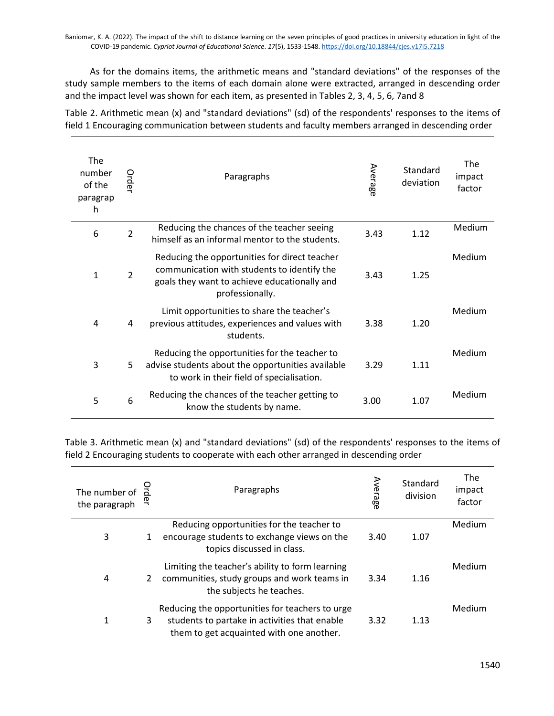As for the domains items, the arithmetic means and "standard deviations" of the responses of the study sample members to the items of each domain alone were extracted, arranged in descending order and the impact level was shown for each item, as presented in Tables 2, 3, 4, 5, 6, 7and 8

Table 2. Arithmetic mean (x) and "standard deviations" (sd) of the respondents' responses to the items of field 1 Encouraging communication between students and faculty members arranged in descending order

| The<br>number<br>of the<br>paragrap<br>h | Order          | Paragraphs                                                                                                                                                      | Average | Standard<br>deviation | <b>The</b><br>impact<br>factor |
|------------------------------------------|----------------|-----------------------------------------------------------------------------------------------------------------------------------------------------------------|---------|-----------------------|--------------------------------|
| 6                                        | $\overline{2}$ | Reducing the chances of the teacher seeing<br>himself as an informal mentor to the students.                                                                    | 3.43    | 1.12                  | <b>Medium</b>                  |
| 1                                        | $\overline{2}$ | Reducing the opportunities for direct teacher<br>communication with students to identify the<br>goals they want to achieve educationally and<br>professionally. | 3.43    | 1.25                  | Medium                         |
| 4                                        | 4              | Limit opportunities to share the teacher's<br>previous attitudes, experiences and values with<br>students.                                                      | 3.38    | 1.20                  | Medium                         |
| 3                                        | 5              | Reducing the opportunities for the teacher to<br>advise students about the opportunities available<br>to work in their field of specialisation.                 | 3.29    | 1.11                  | Medium                         |
| 5                                        | 6              | Reducing the chances of the teacher getting to<br>know the students by name.                                                                                    | 3.00    | 1.07                  | Medium                         |

Table 3. Arithmetic mean (x) and "standard deviations" (sd) of the respondents' responses to the items of field 2 Encouraging students to cooperate with each other arranged in descending order

| The number of<br>the paragraph | Drder | Paragraphs                                                                                                                                   | Average | Standard<br>division | The<br>impact<br>factor |
|--------------------------------|-------|----------------------------------------------------------------------------------------------------------------------------------------------|---------|----------------------|-------------------------|
| 3                              | 1     | Reducing opportunities for the teacher to<br>encourage students to exchange views on the<br>topics discussed in class.                       | 3.40    | 1.07                 | Medium                  |
| 4                              | 2     | Limiting the teacher's ability to form learning<br>communities, study groups and work teams in<br>the subjects he teaches.                   | 3.34    | 1.16                 | Medium                  |
| 1                              | 3     | Reducing the opportunities for teachers to urge<br>students to partake in activities that enable<br>them to get acquainted with one another. | 3.32    | 1.13                 | Medium                  |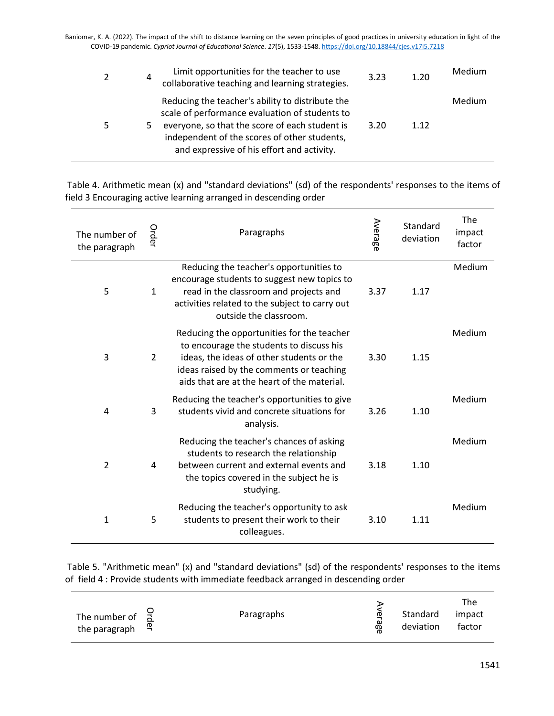| 2 | 4 | Limit opportunities for the teacher to use<br>collaborative teaching and learning strategies.                                                                                                                                                      | 3.23 | 1.20 | Medium |
|---|---|----------------------------------------------------------------------------------------------------------------------------------------------------------------------------------------------------------------------------------------------------|------|------|--------|
| 5 | ь | Reducing the teacher's ability to distribute the<br>scale of performance evaluation of students to<br>everyone, so that the score of each student is<br>independent of the scores of other students,<br>and expressive of his effort and activity. | 3.20 | 1.12 | Medium |

Table 4. Arithmetic mean (x) and "standard deviations" (sd) of the respondents' responses to the items of field 3 Encouraging active learning arranged in descending order

| The number of<br>the paragraph | Order         | Paragraphs                                                                                                                                                                                                                     | Average | Standard<br>deviation | The<br>impact<br>factor |
|--------------------------------|---------------|--------------------------------------------------------------------------------------------------------------------------------------------------------------------------------------------------------------------------------|---------|-----------------------|-------------------------|
| 5                              | $\mathbf{1}$  | Reducing the teacher's opportunities to<br>encourage students to suggest new topics to<br>read in the classroom and projects and<br>activities related to the subject to carry out<br>outside the classroom.                   | 3.37    | 1.17                  | Medium                  |
| 3                              | $\mathcal{P}$ | Reducing the opportunities for the teacher<br>to encourage the students to discuss his<br>ideas, the ideas of other students or the<br>ideas raised by the comments or teaching<br>aids that are at the heart of the material. | 3.30    | 1.15                  | Medium                  |
| 4                              | 3             | Reducing the teacher's opportunities to give<br>students vivid and concrete situations for<br>analysis.                                                                                                                        | 3.26    | 1.10                  | Medium                  |
| $\overline{2}$                 | 4             | Reducing the teacher's chances of asking<br>students to research the relationship<br>between current and external events and<br>the topics covered in the subject he is<br>studying.                                           | 3.18    | 1.10                  | Medium                  |
| 1                              | 5             | Reducing the teacher's opportunity to ask<br>students to present their work to their<br>colleagues.                                                                                                                            | 3.10    | 1.11                  | Medium                  |

Table 5. "Arithmetic mean" (x) and "standard deviations" (sd) of the respondents' responses to the items of field 4 : Provide students with immediate feedback arranged in descending order

|                                                            |            |                     |                       | The              |
|------------------------------------------------------------|------------|---------------------|-----------------------|------------------|
| The number of $\overline{a}$<br>the paragraph $\mathbb{R}$ | Paragraphs | ወ<br><u>نه</u><br>æ | Standard<br>deviation | impact<br>factor |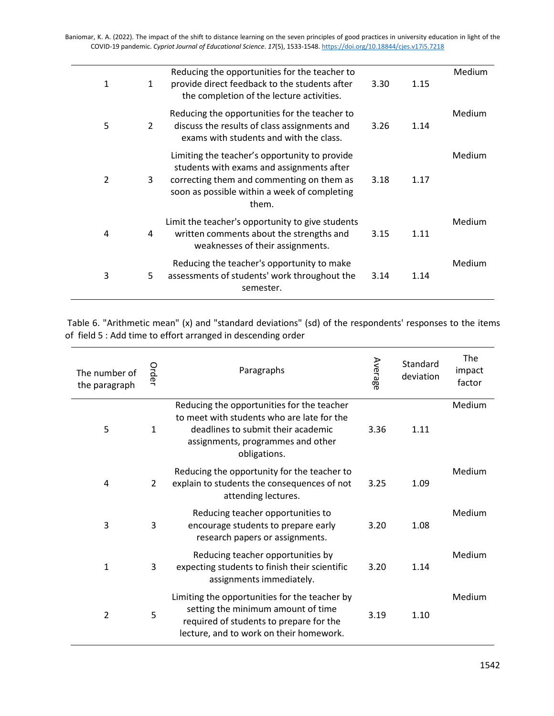| 1              | 1 | Reducing the opportunities for the teacher to<br>provide direct feedback to the students after<br>the completion of the lecture activities.                                                      | 3.30 | 1.15 | Medium |
|----------------|---|--------------------------------------------------------------------------------------------------------------------------------------------------------------------------------------------------|------|------|--------|
| 5              | 2 | Reducing the opportunities for the teacher to<br>discuss the results of class assignments and<br>exams with students and with the class.                                                         | 3.26 | 1.14 | Medium |
| $\overline{2}$ | 3 | Limiting the teacher's opportunity to provide<br>students with exams and assignments after<br>correcting them and commenting on them as<br>soon as possible within a week of completing<br>them. | 3.18 | 1.17 | Medium |
| 4              | 4 | Limit the teacher's opportunity to give students<br>written comments about the strengths and<br>weaknesses of their assignments.                                                                 | 3.15 | 1.11 | Medium |
| 3              | 5 | Reducing the teacher's opportunity to make<br>assessments of students' work throughout the<br>semester.                                                                                          | 3.14 | 1.14 | Medium |
|                |   |                                                                                                                                                                                                  |      |      |        |

Table 6. "Arithmetic mean" (x) and "standard deviations" (sd) of the respondents' responses to the items of field 5 : Add time to effort arranged in descending order

| The number of<br>the paragraph | Order          | Paragraphs                                                                                                                                                                          | Average | Standard<br>deviation | The<br>impact<br>factor |
|--------------------------------|----------------|-------------------------------------------------------------------------------------------------------------------------------------------------------------------------------------|---------|-----------------------|-------------------------|
| 5                              | $\mathbf{1}$   | Reducing the opportunities for the teacher<br>to meet with students who are late for the<br>deadlines to submit their academic<br>assignments, programmes and other<br>obligations. | 3.36    | 1.11                  | Medium                  |
| 4                              | $\overline{2}$ | Reducing the opportunity for the teacher to<br>explain to students the consequences of not<br>attending lectures.                                                                   | 3.25    | 1.09                  | Medium                  |
| 3                              | 3              | Reducing teacher opportunities to<br>encourage students to prepare early<br>research papers or assignments.                                                                         | 3.20    | 1.08                  | Medium                  |
| 1                              | 3              | Reducing teacher opportunities by<br>expecting students to finish their scientific<br>assignments immediately.                                                                      | 3.20    | 1.14                  | Medium                  |
| $\overline{2}$                 | 5              | Limiting the opportunities for the teacher by<br>setting the minimum amount of time<br>required of students to prepare for the<br>lecture, and to work on their homework.           | 3.19    | 1.10                  | Medium                  |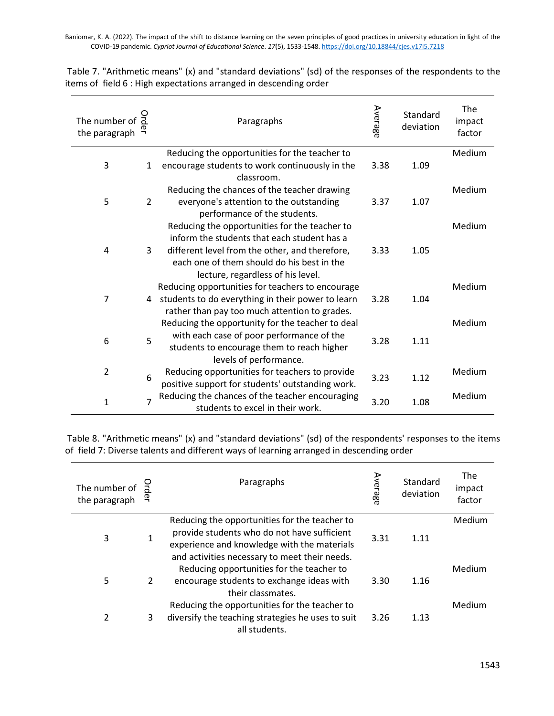Table 7. "Arithmetic means" (x) and "standard deviations" (sd) of the responses of the respondents to the items of field 6 : High expectations arranged in descending order

| The number of<br>the paragraph |                | Paragraphs                                                                              | Average | Standard<br>deviation | The<br>impact<br>factor |
|--------------------------------|----------------|-----------------------------------------------------------------------------------------|---------|-----------------------|-------------------------|
|                                |                | Reducing the opportunities for the teacher to                                           |         |                       | Medium                  |
| 3                              | 1              | encourage students to work continuously in the<br>classroom.                            | 3.38    | 1.09                  |                         |
|                                |                | Reducing the chances of the teacher drawing                                             |         |                       | Medium                  |
| 5                              | 2              | everyone's attention to the outstanding<br>performance of the students.                 | 3.37    | 1.07                  |                         |
|                                |                | Reducing the opportunities for the teacher to                                           |         |                       | Medium                  |
|                                |                | inform the students that each student has a                                             |         |                       |                         |
| 4                              | 3              | different level from the other, and therefore,                                          | 3.33    | 1.05                  |                         |
|                                |                | each one of them should do his best in the                                              |         |                       |                         |
|                                |                | lecture, regardless of his level.                                                       |         |                       |                         |
|                                |                | Reducing opportunities for teachers to encourage                                        |         |                       | Medium                  |
| 7                              | 4              | students to do everything in their power to learn                                       | 3.28    | 1.04                  |                         |
|                                |                | rather than pay too much attention to grades.                                           |         |                       |                         |
|                                |                | Reducing the opportunity for the teacher to deal                                        |         |                       | Medium                  |
| 6                              | 5              | with each case of poor performance of the<br>students to encourage them to reach higher | 3.28    | 1.11                  |                         |
|                                |                | levels of performance.                                                                  |         |                       |                         |
| $\overline{2}$                 |                | Reducing opportunities for teachers to provide                                          |         |                       | Medium                  |
|                                | 6              | positive support for students' outstanding work.                                        | 3.23    | 1.12                  |                         |
|                                |                | Reducing the chances of the teacher encouraging                                         |         |                       | Medium                  |
| $\mathbf{1}$                   | $\overline{7}$ | students to excel in their work.                                                        | 3.20    | 1.08                  |                         |

Table 8. "Arithmetic means" (x) and "standard deviations" (sd) of the respondents' responses to the items of field 7: Diverse talents and different ways of learning arranged in descending order

| The number of<br>the paragraph |   | Paragraphs                                                                                                                                                                                   | Average | Standard<br>deviation | <b>The</b><br>impact<br>factor |
|--------------------------------|---|----------------------------------------------------------------------------------------------------------------------------------------------------------------------------------------------|---------|-----------------------|--------------------------------|
| 3                              |   | Reducing the opportunities for the teacher to<br>provide students who do not have sufficient<br>experience and knowledge with the materials<br>and activities necessary to meet their needs. | 3.31    | 1.11                  | Medium                         |
| 5                              | 2 | Reducing opportunities for the teacher to<br>encourage students to exchange ideas with<br>their classmates.                                                                                  | 3.30    | 1.16                  | Medium                         |
| 2                              | 3 | Reducing the opportunities for the teacher to<br>diversify the teaching strategies he uses to suit<br>all students.                                                                          | 3.26    | 1.13                  | Medium                         |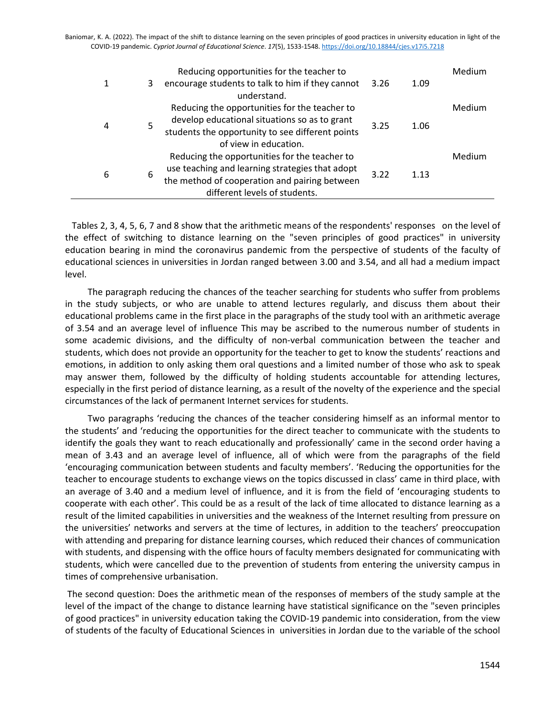|   |   | Reducing opportunities for the teacher to        |              |      | Medium |
|---|---|--------------------------------------------------|--------------|------|--------|
| 1 | 3 | encourage students to talk to him if they cannot | 3.26         | 1.09 |        |
|   |   | understand.                                      |              |      |        |
| 4 |   | Reducing the opportunities for the teacher to    |              |      | Medium |
|   | 5 | develop educational situations so as to grant    | 3.25<br>1.06 |      |        |
|   |   | students the opportunity to see different points |              |      |        |
|   |   | of view in education.                            |              |      |        |
| 6 |   | Reducing the opportunities for the teacher to    |              |      | Medium |
|   | 6 | use teaching and learning strategies that adopt  |              |      |        |
|   |   | the method of cooperation and pairing between    | 3.22         | 1.13 |        |
|   |   | different levels of students.                    |              |      |        |
|   |   |                                                  |              |      |        |

 Tables 2, 3, 4, 5, 6, 7 and 8 show that the arithmetic means of the respondents' responses on the level of the effect of switching to distance learning on the "seven principles of good practices" in university education bearing in mind the coronavirus pandemic from the perspective of students of the faculty of educational sciences in universities in Jordan ranged between 3.00 and 3.54, and all had a medium impact level.

 The paragraph reducing the chances of the teacher searching for students who suffer from problems in the study subjects, or who are unable to attend lectures regularly, and discuss them about their educational problems came in the first place in the paragraphs of the study tool with an arithmetic average of 3.54 and an average level of influence This may be ascribed to the numerous number of students in some academic divisions, and the difficulty of non-verbal communication between the teacher and students, which does not provide an opportunity for the teacher to get to know the students' reactions and emotions, in addition to only asking them oral questions and a limited number of those who ask to speak may answer them, followed by the difficulty of holding students accountable for attending lectures, especially in the first period of distance learning, as a result of the novelty of the experience and the special circumstances of the lack of permanent Internet services for students.

 Two paragraphs 'reducing the chances of the teacher considering himself as an informal mentor to the students' and 'reducing the opportunities for the direct teacher to communicate with the students to identify the goals they want to reach educationally and professionally' came in the second order having a mean of 3.43 and an average level of influence, all of which were from the paragraphs of the field 'encouraging communication between students and faculty members'. 'Reducing the opportunities for the teacher to encourage students to exchange views on the topics discussed in class' came in third place, with an average of 3.40 and a medium level of influence, and it is from the field of 'encouraging students to cooperate with each other'. This could be as a result of the lack of time allocated to distance learning as a result of the limited capabilities in universities and the weakness of the Internet resulting from pressure on the universities' networks and servers at the time of lectures, in addition to the teachers' preoccupation with attending and preparing for distance learning courses, which reduced their chances of communication with students, and dispensing with the office hours of faculty members designated for communicating with students, which were cancelled due to the prevention of students from entering the university campus in times of comprehensive urbanisation.

The second question: Does the arithmetic mean of the responses of members of the study sample at the level of the impact of the change to distance learning have statistical significance on the "seven principles of good practices" in university education taking the COVID-19 pandemic into consideration, from the view of students of the faculty of Educational Sciences in universities in Jordan due to the variable of the school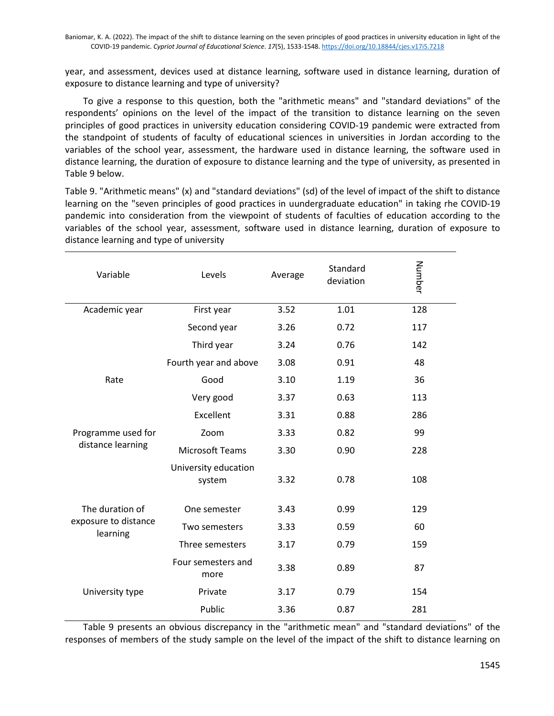year, and assessment, devices used at distance learning, software used in distance learning, duration of exposure to distance learning and type of university?

 To give a response to this question, both the "arithmetic means" and "standard deviations" of the respondents' opinions on the level of the impact of the transition to distance learning on the seven principles of good practices in university education considering COVID-19 pandemic were extracted from the standpoint of students of faculty of educational sciences in universities in Jordan according to the variables of the school year, assessment, the hardware used in distance learning, the software used in distance learning, the duration of exposure to distance learning and the type of university, as presented in Table 9 below.

Table 9. "Arithmetic means" (x) and "standard deviations" (sd) of the level of impact of the shift to distance learning on the "seven principles of good practices in uundergraduate education" in taking rhe COVID-19 pandemic into consideration from the viewpoint of students of faculties of education according to the variables of the school year, assessment, software used in distance learning, duration of exposure to distance learning and type of university

| Variable                         | Levels                         | Average | Standard<br>deviation | Number |
|----------------------------------|--------------------------------|---------|-----------------------|--------|
| Academic year                    | First year                     | 3.52    | 1.01                  | 128    |
|                                  | Second year                    | 3.26    | 0.72                  | 117    |
|                                  | Third year                     | 3.24    | 0.76                  | 142    |
|                                  | Fourth year and above          | 3.08    | 0.91                  | 48     |
| Rate                             | Good                           | 3.10    | 1.19                  | 36     |
|                                  | Very good                      | 3.37    | 0.63                  | 113    |
|                                  | Excellent                      | 3.31    | 0.88                  | 286    |
| Programme used for               | Zoom                           | 3.33    | 0.82                  | 99     |
| distance learning                | <b>Microsoft Teams</b>         | 3.30    | 0.90                  | 228    |
|                                  | University education<br>system | 3.32    | 0.78                  | 108    |
| The duration of                  | One semester                   | 3.43    | 0.99                  | 129    |
| exposure to distance<br>learning | Two semesters                  | 3.33    | 0.59                  | 60     |
|                                  | Three semesters                | 3.17    | 0.79                  | 159    |
|                                  | Four semesters and<br>more     | 3.38    | 0.89                  | 87     |
| University type                  | Private                        | 3.17    | 0.79                  | 154    |
|                                  | Public                         | 3.36    | 0.87                  | 281    |

 Table 9 presents an obvious discrepancy in the "arithmetic mean" and "standard deviations" of the responses of members of the study sample on the level of the impact of the shift to distance learning on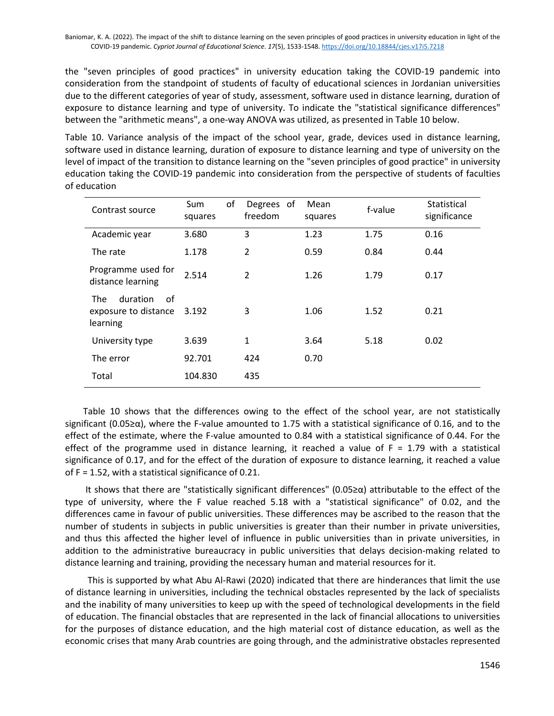the "seven principles of good practices" in university education taking the COVID-19 pandemic into consideration from the standpoint of students of faculty of educational sciences in Jordanian universities due to the different categories of year of study, assessment, software used in distance learning, duration of exposure to distance learning and type of university. To indicate the "statistical significance differences" between the "arithmetic means", a one-way ANOVA was utilized, as presented in Table 10 below.

Table 10. Variance analysis of the impact of the school year, grade, devices used in distance learning, software used in distance learning, duration of exposure to distance learning and type of university on the level of impact of the transition to distance learning on the "seven principles of good practice" in university education taking the COVID-19 pandemic into consideration from the perspective of students of faculties of education

| Contrast source                                                  | of<br>Sum<br>squares | Degrees of<br>freedom | Mean<br>squares | f-value | Statistical<br>significance |
|------------------------------------------------------------------|----------------------|-----------------------|-----------------|---------|-----------------------------|
| Academic year                                                    | 3.680                | 3                     | 1.23            | 1.75    | 0.16                        |
| The rate                                                         | 1.178                | $\overline{2}$        | 0.59            | 0.84    | 0.44                        |
| Programme used for<br>distance learning                          | 2.514                | $\overline{2}$        | 1.26            | 1.79    | 0.17                        |
| duration<br>οf<br><b>The</b><br>exposure to distance<br>learning | 3.192                | 3                     | 1.06            | 1.52    | 0.21                        |
| University type                                                  | 3.639                | 1                     | 3.64            | 5.18    | 0.02                        |
| The error                                                        | 92.701               | 424                   | 0.70            |         |                             |
| Total                                                            | 104.830              | 435                   |                 |         |                             |

 Table 10 shows that the differences owing to the effect of the school year, are not statistically significant (0.05≥α), where the F-value amounted to 1.75 with a statistical significance of 0.16, and to the effect of the estimate, where the F-value amounted to 0.84 with a statistical significance of 0.44. For the effect of the programme used in distance learning, it reached a value of  $F = 1.79$  with a statistical significance of 0.17, and for the effect of the duration of exposure to distance learning, it reached a value of F = 1.52, with a statistical significance of 0.21.

 It shows that there are "statistically significant differences" (0.05≥α) attributable to the effect of the type of university, where the F value reached 5.18 with a "statistical significance" of 0.02, and the differences came in favour of public universities. These differences may be ascribed to the reason that the number of students in subjects in public universities is greater than their number in private universities, and thus this affected the higher level of influence in public universities than in private universities, in addition to the administrative bureaucracy in public universities that delays decision-making related to distance learning and training, providing the necessary human and material resources for it.

 This is supported by what Abu Al-Rawi (2020) indicated that there are hinderances that limit the use of distance learning in universities, including the technical obstacles represented by the lack of specialists and the inability of many universities to keep up with the speed of technological developments in the field of education. The financial obstacles that are represented in the lack of financial allocations to universities for the purposes of distance education, and the high material cost of distance education, as well as the economic crises that many Arab countries are going through, and the administrative obstacles represented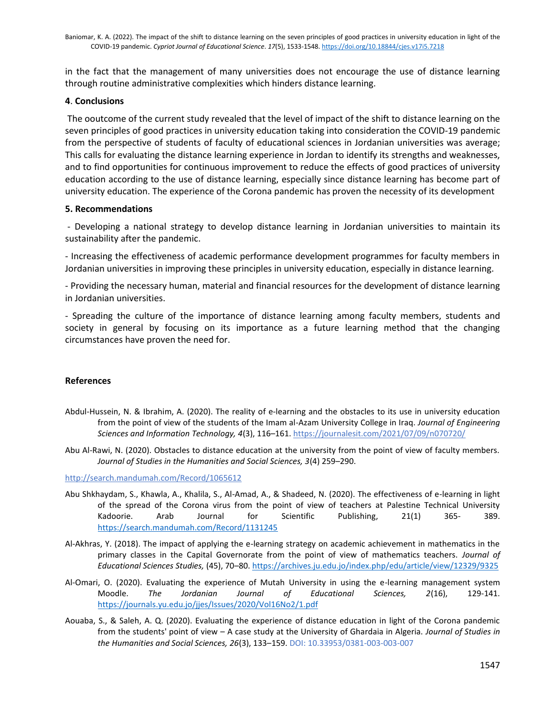in the fact that the management of many universities does not encourage the use of distance learning through routine administrative complexities which hinders distance learning.

#### **4**. **Conclusions**

The ooutcome of the current study revealed that the level of impact of the shift to distance learning on the seven principles of good practices in university education taking into consideration the COVID-19 pandemic from the perspective of students of faculty of educational sciences in Jordanian universities was average; This calls for evaluating the distance learning experience in Jordan to identify its strengths and weaknesses, and to find opportunities for continuous improvement to reduce the effects of good practices of university education according to the use of distance learning, especially since distance learning has become part of university education. The experience of the Corona pandemic has proven the necessity of its development

### **5. Recommendations**

- Developing a national strategy to develop distance learning in Jordanian universities to maintain its sustainability after the pandemic.

- Increasing the effectiveness of academic performance development programmes for faculty members in Jordanian universities in improving these principles in university education, especially in distance learning.

- Providing the necessary human, material and financial resources for the development of distance learning in Jordanian universities.

- Spreading the culture of the importance of distance learning among faculty members, students and society in general by focusing on its importance as a future learning method that the changing circumstances have proven the need for.

# **References**

- Abdul-Hussein, N. & Ibrahim, A. (2020). The reality of e-learning and the obstacles to its use in university education from the point of view of the students of the Imam al-Azam University College in Iraq. *Journal of Engineering Sciences and Information Technology, 4*(3), 116–161. <https://journalesit.com/2021/07/09/n070720/>
- Abu Al-Rawi, N. (2020). Obstacles to distance education at the university from the point of view of faculty members. *Journal of Studies in the Humanities and Social Sciences, 3*(4) 259–290.

<http://search.mandumah.com/Record/1065612>

- Abu Shkhaydam, S., Khawla, A., Khalila, S., Al-Amad, A., & Shadeed, N. (2020). The effectiveness of e-learning in light of the spread of the Corona virus from the point of view of teachers at Palestine Technical University Kadoorie. Arab Journal for Scientific Publishing, 21(1) 365- 389. <https://search.mandumah.com/Record/1131245>
- Al-Akhras, Y. (2018). The impact of applying the e-learning strategy on academic achievement in mathematics in the primary classes in the Capital Governorate from the point of view of mathematics teachers. *Journal of Educational Sciences Studies,* (45), 70–80. <https://archives.ju.edu.jo/index.php/edu/article/view/12329/9325>
- Al-Omari, O. (2020). Evaluating the experience of Mutah University in using the e-learning management system Moodle. *The Jordanian Journal of Educational Sciences, 2*(16), 129-141. <https://journals.yu.edu.jo/jjes/Issues/2020/Vol16No2/1.pdf>
- Aouaba, S., & Saleh, A. Q. (2020). Evaluating the experience of distance education in light of the Corona pandemic from the students' point of view – A case study at the University of Ghardaia in Algeria. *Journal of Studies in the Humanities and Social Sciences, 26*(3), 133–159. DOI: 10.33953/0381-003-003-007